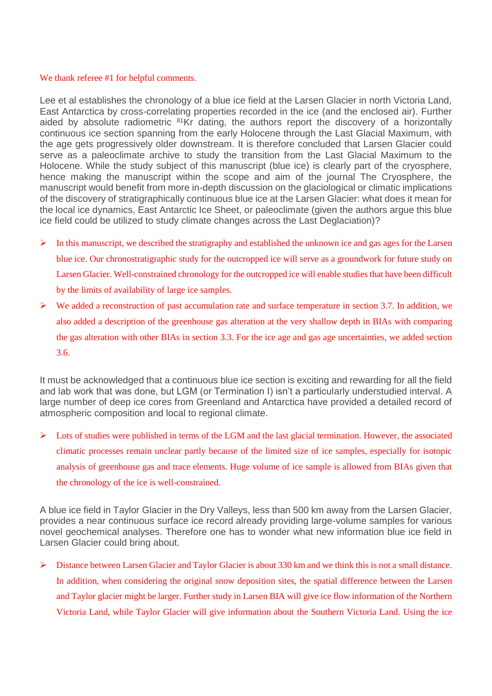# We thank referee #1 for helpful comments.

Lee et al establishes the chronology of a blue ice field at the Larsen Glacier in north Victoria Land, East Antarctica by cross-correlating properties recorded in the ice (and the enclosed air). Further aided by absolute radiometric <sup>81</sup>Kr dating, the authors report the discovery of a horizontally continuous ice section spanning from the early Holocene through the Last Glacial Maximum, with the age gets progressively older downstream. It is therefore concluded that Larsen Glacier could serve as a paleoclimate archive to study the transition from the Last Glacial Maximum to the Holocene. While the study subject of this manuscript (blue ice) is clearly part of the cryosphere, hence making the manuscript within the scope and aim of the journal The Cryosphere, the manuscript would benefit from more in-depth discussion on the glaciological or climatic implications of the discovery of stratigraphically continuous blue ice at the Larsen Glacier: what does it mean for the local ice dynamics, East Antarctic Ice Sheet, or paleoclimate (given the authors argue this blue ice field could be utilized to study climate changes across the Last Deglaciation)?

- $\triangleright$  In this manuscript, we described the stratigraphy and established the unknown ice and gas ages for the Larsen blue ice. Our chronostratigraphic study for the outcropped ice will serve as a groundwork for future study on Larsen Glacier. Well-constrained chronology for the outcropped ice will enable studies that have been difficult by the limits of availability of large ice samples.
- $\triangleright$  We added a reconstruction of past accumulation rate and surface temperature in section 3.7. In addition, we also added a description of the greenhouse gas alteration at the very shallow depth in BIAs with comparing the gas alteration with other BIAs in section 3.3. For the ice age and gas age uncertainties, we added section 3.6.

It must be acknowledged that a continuous blue ice section is exciting and rewarding for all the field and lab work that was done, but LGM (or Termination I) isn't a particularly understudied interval. A large number of deep ice cores from Greenland and Antarctica have provided a detailed record of atmospheric composition and local to regional climate.

Lots of studies were published in terms of the LGM and the last glacial termination. However, the associated climatic processes remain unclear partly because of the limited size of ice samples, especially for isotopic analysis of greenhouse gas and trace elements. Huge volume of ice sample is allowed from BIAs given that the chronology of the ice is well-constrained.

A blue ice field in Taylor Glacier in the Dry Valleys, less than 500 km away from the Larsen Glacier, provides a near continuous surface ice record already providing large-volume samples for various novel geochemical analyses. Therefore one has to wonder what new information blue ice field in Larsen Glacier could bring about.

 $\triangleright$  Distance between Larsen Glacier and Taylor Glacier is about 330 km and we think this is not a small distance. In addition, when considering the original snow deposition sites, the spatial difference between the Larsen and Taylor glacier might be larger. Further study in Larsen BIA will give ice flow information of the Northern Victoria Land, while Taylor Glacier will give information about the Southern Victoria Land. Using the ice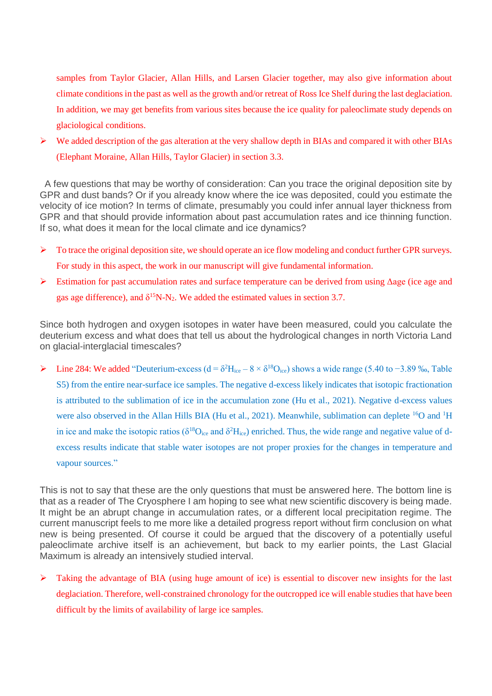samples from Taylor Glacier, Allan Hills, and Larsen Glacier together, may also give information about climate conditions in the past as well as the growth and/or retreat of Ross Ice Shelf during the last deglaciation. In addition, we may get benefits from various sites because the ice quality for paleoclimate study depends on glaciological conditions.

 $\triangleright$  We added description of the gas alteration at the very shallow depth in BIAs and compared it with other BIAs (Elephant Moraine, Allan Hills, Taylor Glacier) in section 3.3.

A few questions that may be worthy of consideration: Can you trace the original deposition site by GPR and dust bands? Or if you already know where the ice was deposited, could you estimate the velocity of ice motion? In terms of climate, presumably you could infer annual layer thickness from GPR and that should provide information about past accumulation rates and ice thinning function. If so, what does it mean for the local climate and ice dynamics?

- $\triangleright$  To trace the original deposition site, we should operate an ice flow modeling and conduct further GPR surveys. For study in this aspect, the work in our manuscript will give fundamental information.
- $\triangleright$  Estimation for past accumulation rates and surface temperature can be derived from using  $\triangle$ age (ice age and gas age difference), and  $\delta^{15}N-N_2$ . We added the estimated values in section 3.7.

Since both hydrogen and oxygen isotopes in water have been measured, could you calculate the deuterium excess and what does that tell us about the hydrological changes in north Victoria Land on glacial-interglacial timescales?

Line 284: We added "Deuterium-excess (d =  $\delta^2$ H<sub>ice</sub> –  $8 \times \delta^{18}$ O<sub>ice</sub>) shows a wide range (5.40 to −3.89 ‰, Table S5) from the entire near-surface ice samples. The negative d-excess likely indicates that isotopic fractionation is attributed to the sublimation of ice in the accumulation zone (Hu et al., 2021). Negative d-excess values were also observed in the Allan Hills BIA (Hu et al., 2021). Meanwhile, sublimation can deplete <sup>16</sup>O and <sup>1</sup>H in ice and make the isotopic ratios ( $\delta^{18}O_{ice}$  and  $\delta^2H_{ice}$ ) enriched. Thus, the wide range and negative value of dexcess results indicate that stable water isotopes are not proper proxies for the changes in temperature and vapour sources."

This is not to say that these are the only questions that must be answered here. The bottom line is that as a reader of The Cryosphere I am hoping to see what new scientific discovery is being made. It might be an abrupt change in accumulation rates, or a different local precipitation regime. The current manuscript feels to me more like a detailed progress report without firm conclusion on what new is being presented. Of course it could be argued that the discovery of a potentially useful paleoclimate archive itself is an achievement, but back to my earlier points, the Last Glacial Maximum is already an intensively studied interval.

➢ Taking the advantage of BIA (using huge amount of ice) is essential to discover new insights for the last deglaciation. Therefore, well-constrained chronology for the outcropped ice will enable studies that have been difficult by the limits of availability of large ice samples.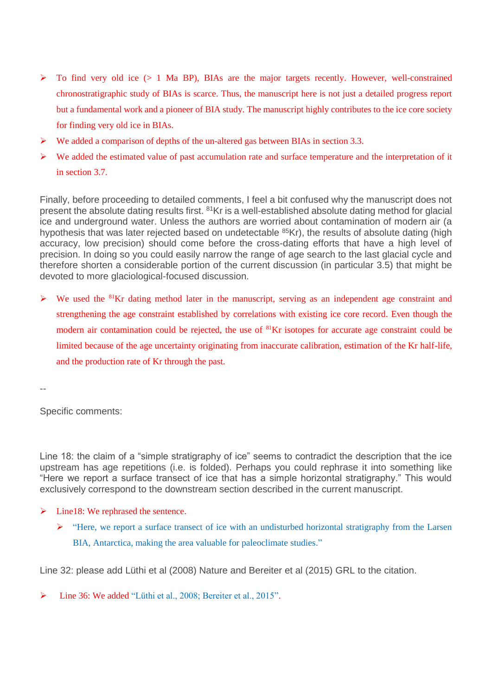- $\triangleright$  To find very old ice ( $> 1$  Ma BP), BIAs are the major targets recently. However, well-constrained chronostratigraphic study of BIAs is scarce. Thus, the manuscript here is not just a detailed progress report but a fundamental work and a pioneer of BIA study. The manuscript highly contributes to the ice core society for finding very old ice in BIAs.
- $\triangleright$  We added a comparison of depths of the un-altered gas between BIAs in section 3.3.
- $\triangleright$  We added the estimated value of past accumulation rate and surface temperature and the interpretation of it in section 3.7.

Finally, before proceeding to detailed comments, I feel a bit confused why the manuscript does not present the absolute dating results first. <sup>81</sup>Kr is a well-established absolute dating method for glacial ice and underground water. Unless the authors are worried about contamination of modern air (a hypothesis that was later rejected based on undetectable <sup>85</sup>Kr), the results of absolute dating (high accuracy, low precision) should come before the cross-dating efforts that have a high level of precision. In doing so you could easily narrow the range of age search to the last glacial cycle and therefore shorten a considerable portion of the current discussion (in particular 3.5) that might be devoted to more glaciological-focused discussion.

➢ We used the <sup>81</sup>Kr dating method later in the manuscript, serving as an independent age constraint and strengthening the age constraint established by correlations with existing ice core record. Even though the modern air contamination could be rejected, the use of <sup>81</sup>Kr isotopes for accurate age constraint could be limited because of the age uncertainty originating from inaccurate calibration, estimation of the Kr half-life, and the production rate of Kr through the past.

Specific comments:

--

Line 18: the claim of a "simple stratigraphy of ice" seems to contradict the description that the ice upstream has age repetitions (i.e. is folded). Perhaps you could rephrase it into something like "Here we report a surface transect of ice that has a simple horizontal stratigraphy." This would exclusively correspond to the downstream section described in the current manuscript.

- $\triangleright$  Line18: We rephrased the sentence.
	- $\triangleright$  "Here, we report a surface transect of ice with an undisturbed horizontal stratigraphy from the Larsen BIA, Antarctica, making the area valuable for paleoclimate studies."

Line 32: please add Lüthi et al (2008) Nature and Bereiter et al (2015) GRL to the citation.

➢ Line 36: We added "Lüthi et al., 2008; Bereiter et al., 2015".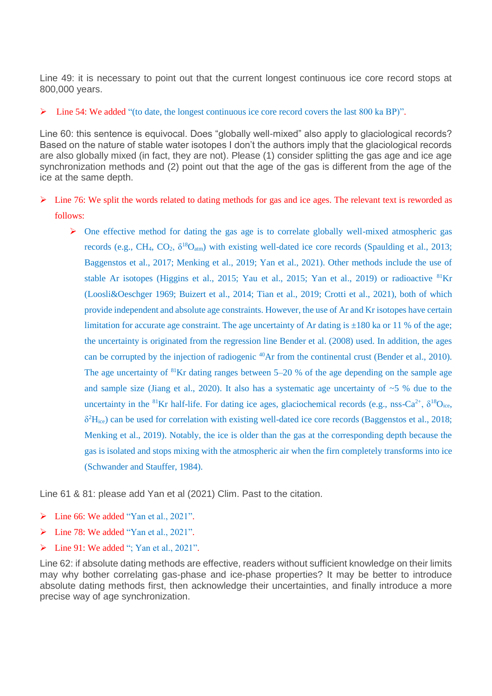Line 49: it is necessary to point out that the current longest continuous ice core record stops at 800,000 years.

## $\triangleright$  Line 54: We added "(to date, the longest continuous ice core record covers the last 800 ka BP)".

Line 60: this sentence is equivocal. Does "globally well-mixed" also apply to glaciological records? Based on the nature of stable water isotopes I don't the authors imply that the glaciological records are also globally mixed (in fact, they are not). Please (1) consider splitting the gas age and ice age synchronization methods and (2) point out that the age of the gas is different from the age of the ice at the same depth.

- $\triangleright$  Line 76: We split the words related to dating methods for gas and ice ages. The relevant text is reworded as follows:
	- ➢ One effective method for dating the gas age is to correlate globally well-mixed atmospheric gas records (e.g., CH<sub>4</sub>, CO<sub>2</sub>,  $\delta^{18}O_{\text{atm}}$ ) with existing well-dated ice core records (Spaulding et al., 2013; Baggenstos et al., 2017; Menking et al., 2019; Yan et al., 2021). Other methods include the use of stable Ar isotopes (Higgins et al., 2015; Yau et al., 2015; Yan et al., 2019) or radioactive <sup>81</sup>Kr (Loosli&Oeschger 1969; Buizert et al., 2014; Tian et al., 2019; Crotti et al., 2021), both of which provide independent and absolute age constraints. However, the use of Ar and Kr isotopes have certain limitation for accurate age constraint. The age uncertainty of Ar dating is  $\pm 180$  ka or 11 % of the age; the uncertainty is originated from the regression line Bender et al. (2008) used. In addition, the ages can be corrupted by the injection of radiogenic <sup>40</sup>Ar from the continental crust (Bender et al., 2010). The age uncertainty of <sup>81</sup>Kr dating ranges between 5–20 % of the age depending on the sample age and sample size (Jiang et al., 2020). It also has a systematic age uncertainty of  $\sim$  5 % due to the uncertainty in the <sup>81</sup>Kr half-life. For dating ice ages, glaciochemical records (e.g., nss-Ca<sup>2+</sup>,  $\delta^{18}O_{\text{ice}}$ , δ <sup>2</sup>Hice) can be used for correlation with existing well-dated ice core records (Baggenstos et al., 2018; Menking et al., 2019). Notably, the ice is older than the gas at the corresponding depth because the gas is isolated and stops mixing with the atmospheric air when the firn completely transforms into ice (Schwander and Stauffer, 1984).

Line 61 & 81: please add Yan et al (2021) Clim. Past to the citation.

- ➢ Line 66: We added "Yan et al., 2021".
- ➢ Line 78: We added "Yan et al., 2021".
- $\triangleright$  Line 91: We added ": Yan et al., 2021".

Line 62: if absolute dating methods are effective, readers without sufficient knowledge on their limits may why bother correlating gas-phase and ice-phase properties? It may be better to introduce absolute dating methods first, then acknowledge their uncertainties, and finally introduce a more precise way of age synchronization.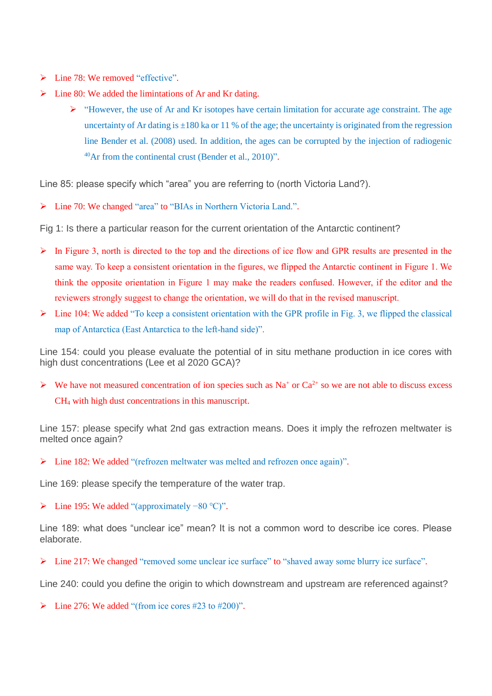- $\triangleright$  Line 78: We removed "effective".
- ➢ Line 80: We added the limintations of Ar and Kr dating.
	- ➢ "However, the use of Ar and Kr isotopes have certain limitation for accurate age constraint. The age uncertainty of Ar dating is  $\pm 180$  ka or 11 % of the age; the uncertainty is originated from the regression line Bender et al. (2008) used. In addition, the ages can be corrupted by the injection of radiogenic  $^{40}$ Ar from the continental crust (Bender et al., 2010)".

Line 85: please specify which "area" you are referring to (north Victoria Land?).

➢ Line 70: We changed "area" to "BIAs in Northern Victoria Land.".

Fig 1: Is there a particular reason for the current orientation of the Antarctic continent?

- $\triangleright$  In Figure 3, north is directed to the top and the directions of ice flow and GPR results are presented in the same way. To keep a consistent orientation in the figures, we flipped the Antarctic continent in Figure 1. We think the opposite orientation in Figure 1 may make the readers confused. However, if the editor and the reviewers strongly suggest to change the orientation, we will do that in the revised manuscript.
- $\triangleright$  Line 104: We added "To keep a consistent orientation with the GPR profile in Fig. 3, we flipped the classical map of Antarctica (East Antarctica to the left-hand side)".

Line 154: could you please evaluate the potential of in situ methane production in ice cores with high dust concentrations (Lee et al 2020 GCA)?

 $\triangleright$  We have not measured concentration of ion species such as Na<sup>+</sup> or Ca<sup>2+</sup> so we are not able to discuss excess CH<sup>4</sup> with high dust concentrations in this manuscript.

Line 157: please specify what 2nd gas extraction means. Does it imply the refrozen meltwater is melted once again?

➢ Line 182: We added "(refrozen meltwater was melted and refrozen once again)".

Line 169: please specify the temperature of the water trap.

➢ Line 195: We added "(approximately −80 ℃)".

Line 189: what does "unclear ice" mean? It is not a common word to describe ice cores. Please elaborate.

➢ Line 217: We changed "removed some unclear ice surface" to "shaved away some blurry ice surface".

Line 240: could you define the origin to which downstream and upstream are referenced against?

 $\triangleright$  Line 276: We added "(from ice cores #23 to #200)".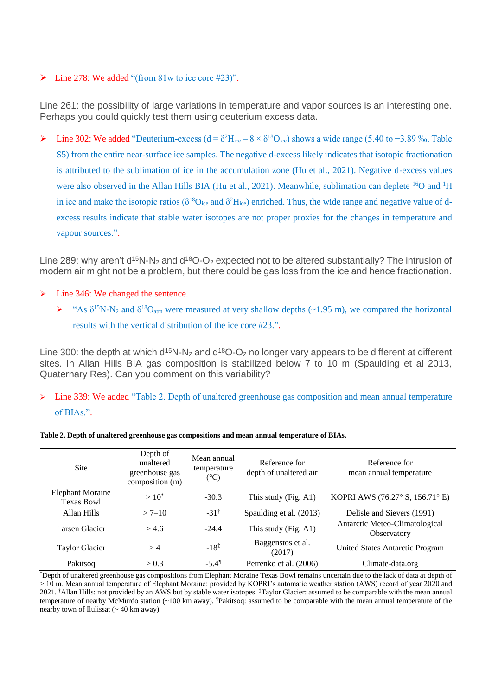# $\triangleright$  Line 278: We added "(from 81w to ice core #23)".

Line 261: the possibility of large variations in temperature and vapor sources is an interesting one. Perhaps you could quickly test them using deuterium excess data.

Line 302: We added "Deuterium-excess (d = δ<sup>2</sup>H<sub>ice</sub> –  $8 \times \delta^{18}O_{ice}$ ) shows a wide range (5.40 to −3.89 ‰, Table S5) from the entire near-surface ice samples. The negative d-excess likely indicates that isotopic fractionation is attributed to the sublimation of ice in the accumulation zone (Hu et al., 2021). Negative d-excess values were also observed in the Allan Hills BIA (Hu et al., 2021). Meanwhile, sublimation can deplete <sup>16</sup>O and <sup>1</sup>H in ice and make the isotopic ratios ( $\delta^{18}O_{ice}$  and  $\delta^2H_{ice}$ ) enriched. Thus, the wide range and negative value of dexcess results indicate that stable water isotopes are not proper proxies for the changes in temperature and vapour sources.".

Line 289: why aren't  $d^{15}N-N_2$  and  $d^{18}O-O_2$  expected not to be altered substantially? The intrusion of modern air might not be a problem, but there could be gas loss from the ice and hence fractionation.

- ➢ Line 346: We changed the sentence.
	- $\triangleright$  "As  $\delta^{15}N-N_2$  and  $\delta^{18}O_{\text{atm}}$  were measured at very shallow depths (~1.95 m), we compared the horizontal results with the vertical distribution of the ice core #23.".

Line 300: the depth at which  $d^{15}N-N_2$  and  $d^{18}O-O_2$  no longer vary appears to be different at different sites. In Allan Hills BIA gas composition is stabilized below 7 to 10 m (Spaulding et al 2013, Quaternary Res). Can you comment on this variability?

 $\triangleright$  Line 339: We added "Table 2. Depth of unaltered greenhouse gas composition and mean annual temperature of BIAs.".

| Site                                         | Depth of<br>unaltered<br>greenhouse gas<br>composition (m) | Mean annual<br>temperature<br>(°C) | Reference for<br>depth of unaltered air | Reference for<br>mean annual temperature                  |
|----------------------------------------------|------------------------------------------------------------|------------------------------------|-----------------------------------------|-----------------------------------------------------------|
| <b>Elephant Moraine</b><br><b>Texas Bowl</b> | $>10^{*}$                                                  | $-30.3$                            | This study (Fig. A1)                    | KOPRI AWS (76.27 $\textdegree$ S, 156.71 $\textdegree$ E) |
| Allan Hills                                  | $> 7 - 10$                                                 | $-31^{\dagger}$                    | Spaulding et al. (2013)                 | Delisle and Sievers (1991)                                |
| Larsen Glacier                               | > 4.6                                                      | $-24.4$                            | This study (Fig. A1)                    | Antarctic Meteo-Climatological<br>Observatory             |
| <b>Taylor Glacier</b>                        | >4                                                         | $-18^{\ddagger}$                   | Baggenstos et al.<br>(2017)             | United States Antarctic Program                           |
| Pakitsog                                     | > 0.3                                                      | $-5.4$ <sup>1</sup>                | Petrenko et al. (2006)                  | Climate-data.org                                          |

**Table 2. Depth of unaltered greenhouse gas compositions and mean annual temperature of BIAs.** 

\*Depth of unaltered greenhouse gas compositions from Elephant Moraine Texas Bowl remains uncertain due to the lack of data at depth of > 10 m. Mean annual temperature of Elephant Moraine: provided by KOPRI's automatic weather station (AWS) record of year 2020 and 2021. †Allan Hills: not provided by an AWS but by stable water isotopes. ‡Taylor Glacier: assumed to be comparable with the mean annual temperature of nearby McMurdo station (~100 km away). ¶Pakitsoq: assumed to be comparable with the mean annual temperature of the nearby town of Ilulissat (~ 40 km away).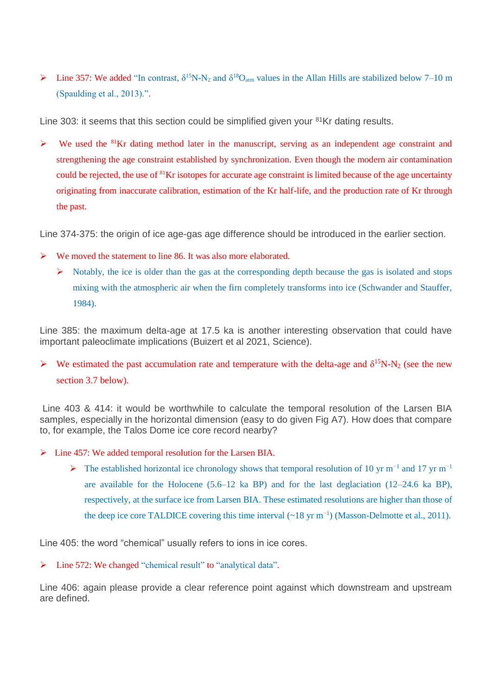$\triangleright$  Line 357: We added "In contrast,  $\delta^{15}N-N_2$  and  $\delta^{18}O_{\text{atm}}$  values in the Allan Hills are stabilized below 7–10 m (Spaulding et al., 2013).".

Line 303: it seems that this section could be simplified given your <sup>81</sup>Kr dating results.

 $\triangleright$  We used the <sup>81</sup>Kr dating method later in the manuscript, serving as an independent age constraint and strengthening the age constraint established by synchronization. Even though the modern air contamination could be rejected, the use of <sup>81</sup>Kr isotopes for accurate age constraint is limited because of the age uncertainty originating from inaccurate calibration, estimation of the Kr half-life, and the production rate of Kr through the past.

Line 374-375: the origin of ice age-gas age difference should be introduced in the earlier section.

- ➢ We moved the statement to line 86. It was also more elaborated.
	- $\triangleright$  Notably, the ice is older than the gas at the corresponding depth because the gas is isolated and stops mixing with the atmospheric air when the firn completely transforms into ice (Schwander and Stauffer, 1984).

Line 385: the maximum delta-age at 17.5 ka is another interesting observation that could have important paleoclimate implications (Buizert et al 2021, Science).

 $\triangleright$  We estimated the past accumulation rate and temperature with the delta-age and  $\delta^{15}N-N_2$  (see the new section 3.7 below).

Line 403 & 414: it would be worthwhile to calculate the temporal resolution of the Larsen BIA samples, especially in the horizontal dimension (easy to do given Fig A7). How does that compare to, for example, the Talos Dome ice core record nearby?

- $\triangleright$  Line 457: We added temporal resolution for the Larsen BIA.
	- ➢ The established horizontal ice chronology shows that temporal resolution of 10 yr m−1 and 17 yr m−1 are available for the Holocene  $(5.6-12 \text{ ka BP})$  and for the last deglaciation  $(12-24.6 \text{ ka BP})$ , respectively, at the surface ice from Larsen BIA. These estimated resolutions are higher than those of the deep ice core TALDICE covering this time interval  $(\sim 18 \text{ yr m}^{-1})$  (Masson-Delmotte et al., 2011).

Line 405: the word "chemical" usually refers to ions in ice cores.

➢ Line 572: We changed "chemical result" to "analytical data".

Line 406: again please provide a clear reference point against which downstream and upstream are defined.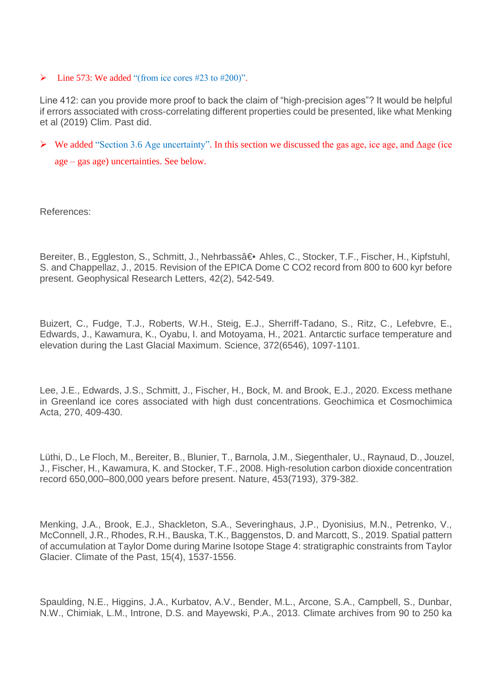$\blacktriangleright$  Line 573: We added "(from ice cores #23 to #200)".

Line 412: can you provide more proof to back the claim of "high-precision ages"? It would be helpful if errors associated with cross-correlating different properties could be presented, like what Menking et al (2019) Clim. Past did.

➢ We added "Section 3.6 Age uncertainty". In this section we discussed the gas age, ice age, and Δage (ice age – gas age) uncertainties. See below.

References:

Bereiter, B., Eggleston, S., Schmitt, J., Nehrbassa 
ighthare Ahles, C., Stocker, T.F., Fischer, H., Kipfstuhl, S. and Chappellaz, J., 2015. Revision of the EPICA Dome C CO2 record from 800 to 600 kyr before present. Geophysical Research Letters, 42(2), 542-549.

Buizert, C., Fudge, T.J., Roberts, W.H., Steig, E.J., Sherriff-Tadano, S., Ritz, C., Lefebvre, E., Edwards, J., Kawamura, K., Oyabu, I. and Motoyama, H., 2021. Antarctic surface temperature and elevation during the Last Glacial Maximum. Science, 372(6546), 1097-1101.

Lee, J.E., Edwards, J.S., Schmitt, J., Fischer, H., Bock, M. and Brook, E.J., 2020. Excess methane in Greenland ice cores associated with high dust concentrations. Geochimica et Cosmochimica Acta, 270, 409-430.

Lüthi, D., Le Floch, M., Bereiter, B., Blunier, T., Barnola, J.M., Siegenthaler, U., Raynaud, D., Jouzel, J., Fischer, H., Kawamura, K. and Stocker, T.F., 2008. High-resolution carbon dioxide concentration record 650,000–800,000 years before present. Nature, 453(7193), 379-382.

Menking, J.A., Brook, E.J., Shackleton, S.A., Severinghaus, J.P., Dyonisius, M.N., Petrenko, V., McConnell, J.R., Rhodes, R.H., Bauska, T.K., Baggenstos, D. and Marcott, S., 2019. Spatial pattern of accumulation at Taylor Dome during Marine Isotope Stage 4: stratigraphic constraints from Taylor Glacier. Climate of the Past, 15(4), 1537-1556.

Spaulding, N.E., Higgins, J.A., Kurbatov, A.V., Bender, M.L., Arcone, S.A., Campbell, S., Dunbar, N.W., Chimiak, L.M., Introne, D.S. and Mayewski, P.A., 2013. Climate archives from 90 to 250 ka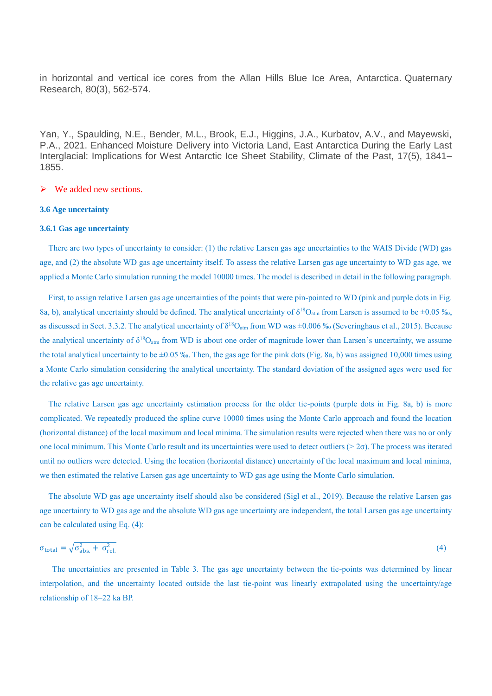in horizontal and vertical ice cores from the Allan Hills Blue Ice Area, Antarctica. Quaternary Research, 80(3), 562-574.

Yan, Y., Spaulding, N.E., Bender, M.L., Brook, E.J., Higgins, J.A., Kurbatov, A.V., and Mayewski, P.A., 2021. Enhanced Moisture Delivery into Victoria Land, East Antarctica During the Early Last Interglacial: Implications for West Antarctic Ice Sheet Stability, Climate of the Past, 17(5), 1841– 1855.

### $\triangleright$  We added new sections.

#### **3.6 Age uncertainty**

#### **3.6.1 Gas age uncertainty**

There are two types of uncertainty to consider: (1) the relative Larsen gas age uncertainties to the WAIS Divide (WD) gas age, and (2) the absolute WD gas age uncertainty itself. To assess the relative Larsen gas age uncertainty to WD gas age, we applied a Monte Carlo simulation running the model 10000 times. The model is described in detail in the following paragraph.

First, to assign relative Larsen gas age uncertainties of the points that were pin-pointed to WD (pink and purple dots in Fig. 8a, b), analytical uncertainty should be defined. The analytical uncertainty of  $\delta^{18}O_{\text{atm}}$  from Larsen is assumed to be  $\pm 0.05$  ‰, as discussed in Sect. 3.3.2. The analytical uncertainty of  $\delta^{18}O_{\text{atm}}$  from WD was  $\pm 0.006$  % (Severinghaus et al., 2015). Because the analytical uncertainty of  $\delta^{18}O_{atm}$  from WD is about one order of magnitude lower than Larsen's uncertainty, we assume the total analytical uncertainty to be  $\pm 0.05$  %. Then, the gas age for the pink dots (Fig. 8a, b) was assigned 10,000 times using a Monte Carlo simulation considering the analytical uncertainty. The standard deviation of the assigned ages were used for the relative gas age uncertainty.

The relative Larsen gas age uncertainty estimation process for the older tie-points (purple dots in Fig. 8a, b) is more complicated. We repeatedly produced the spline curve 10000 times using the Monte Carlo approach and found the location (horizontal distance) of the local maximum and local minima. The simulation results were rejected when there was no or only one local minimum. This Monte Carlo result and its uncertainties were used to detect outliers ( $> 2\sigma$ ). The process was iterated until no outliers were detected. Using the location (horizontal distance) uncertainty of the local maximum and local minima, we then estimated the relative Larsen gas age uncertainty to WD gas age using the Monte Carlo simulation.

The absolute WD gas age uncertainty itself should also be considered (Sigl et al., 2019). Because the relative Larsen gas age uncertainty to WD gas age and the absolute WD gas age uncertainty are independent, the total Larsen gas age uncertainty can be calculated using Eq. (4):

$$
\sigma_{\text{total}} = \sqrt{\sigma_{\text{abs.}}^2 + \sigma_{\text{rel.}}^2}
$$
 (4)

 The uncertainties are presented in Table 3. The gas age uncertainty between the tie-points was determined by linear interpolation, and the uncertainty located outside the last tie-point was linearly extrapolated using the uncertainty/age relationship of 18–22 ka BP.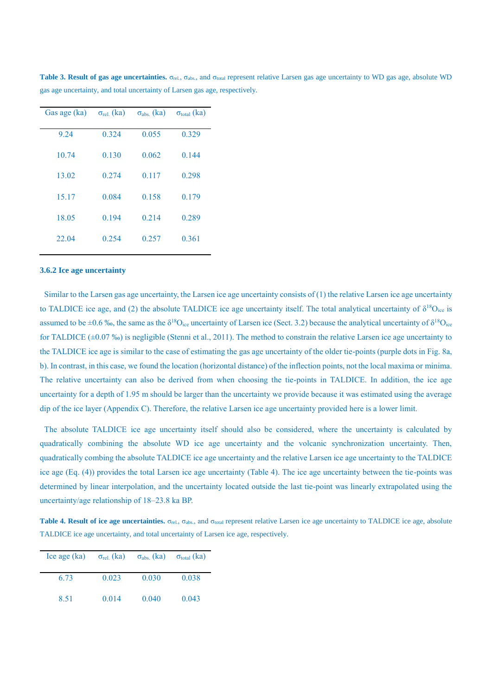| Gas age (ka) | $\sigma_{rel.}$ (ka) | $\sigma_{\text{abs.}}$ (ka) | $\sigma_{\text{total}}$ (ka) |
|--------------|----------------------|-----------------------------|------------------------------|
| 9.24         | 0.324                | 0.055                       | 0.329                        |
| 10.74        | 0.130                | 0.062                       | 0.144                        |
| 13.02        | 0.274                | 0.117                       | 0.298                        |
| 15.17        | 0.084                | 0.158                       | 0.179                        |
| 18.05        | 0.194                | 0.214                       | 0.289                        |
| 22.04        | 0.254                | 0.257                       | 0.361                        |

**Table 3. Result of gas age uncertainties.**  $\sigma_{rel}$ ,  $\sigma_{abs}$ , and  $\sigma_{total}$  represent relative Larsen gas age uncertainty to WD gas age, absolute WD gas age uncertainty, and total uncertainty of Larsen gas age, respectively.

#### **3.6.2 Ice age uncertainty**

Similar to the Larsen gas age uncertainty, the Larsen ice age uncertainty consists of (1) the relative Larsen ice age uncertainty to TALDICE ice age, and (2) the absolute TALDICE ice age uncertainty itself. The total analytical uncertainty of  $\delta^{18}O_{\text{ice}}$  is assumed to be  $\pm 0.6$  %, the same as the  $\delta^{18}O_{ice}$  uncertainty of Larsen ice (Sect. 3.2) because the analytical uncertainty of  $\delta^{18}O_{ice}$ for TALDICE  $(\pm 0.07 \%)$  is negligible (Stenni et al., 2011). The method to constrain the relative Larsen ice age uncertainty to the TALDICE ice age is similar to the case of estimating the gas age uncertainty of the older tie-points (purple dots in Fig. 8a, b). In contrast, in this case, we found the location (horizontal distance) of the inflection points, not the local maxima or minima. The relative uncertainty can also be derived from when choosing the tie-points in TALDICE. In addition, the ice age uncertainty for a depth of 1.95 m should be larger than the uncertainty we provide because it was estimated using the average dip of the ice layer (Appendix C). Therefore, the relative Larsen ice age uncertainty provided here is a lower limit.

The absolute TALDICE ice age uncertainty itself should also be considered, where the uncertainty is calculated by quadratically combining the absolute WD ice age uncertainty and the volcanic synchronization uncertainty. Then, quadratically combing the absolute TALDICE ice age uncertainty and the relative Larsen ice age uncertainty to the TALDICE ice age (Eq. (4)) provides the total Larsen ice age uncertainty (Table 4). The ice age uncertainty between the tie-points was determined by linear interpolation, and the uncertainty located outside the last tie-point was linearly extrapolated using the uncertainty/age relationship of 18–23.8 ka BP.

**Table 4. Result of ice age uncertainties.**  $\sigma_{\text{rel}}$ ,  $\sigma_{\text{abs}}$ , and  $\sigma_{\text{total}}$  represent relative Larsen ice age uncertainty to TALDICE ice age, absolute TALDICE ice age uncertainty, and total uncertainty of Larsen ice age, respectively.

| Ice age (ka) | $\sigma_{rel.}$ (ka) | $\sigma_{\text{abs.}}$ (ka) | $\sigma_{\text{total}}$ (ka) |
|--------------|----------------------|-----------------------------|------------------------------|
| 6.73         | 0.023                | 0.030                       | 0.038                        |
| 8.51         | 0.014                | 0.040                       | 0.043                        |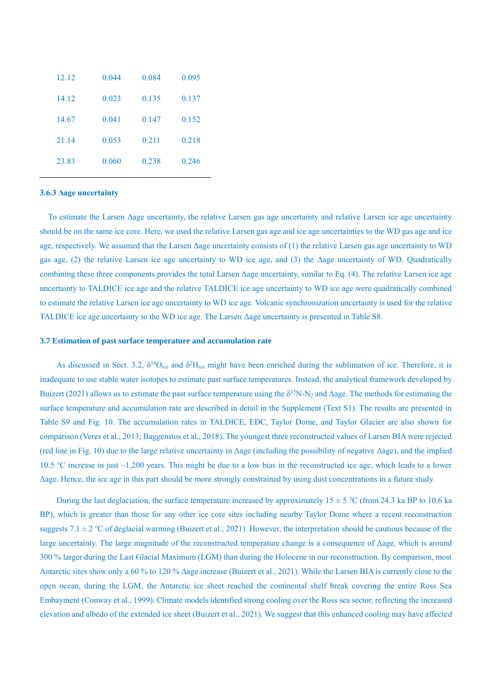| 12.12 | 0.044 | 0.084 | 0.095 |
|-------|-------|-------|-------|
| 14.12 | 0.023 | 0.135 | 0.137 |
| 14.67 | 0.041 | 0.147 | 0.152 |
| 21.14 | 0.053 | 0.211 | 0.218 |
| 23.83 | 0.060 | 0.238 | 0.246 |

#### **3.6.3 Δage uncertainty**

 To estimate the Larsen Δage uncertainty, the relative Larsen gas age uncertainty and relative Larsen ice age uncertainty should be on the same ice core. Here, we used the relative Larsen gas age and ice age uncertainties to the WD gas age and ice age, respectively. We assumed that the Larsen Δage uncertainty consists of (1) the relative Larsen gas age uncertainty to WD gas age, (2) the relative Larsen ice age uncertainty to WD ice age, and (3) the Δage uncertainty of WD. Quadratically combining these three components provides the total Larsen Δage uncertainty, similar to Eq. (4). The relative Larsen ice age uncertainty to TALDICE ice age and the relative TALDICE ice age uncertainty to WD ice age were quadratically combined to estimate the relative Larsen ice age uncertainty to WD ice age. Volcanic synchronization uncertainty is used for the relative TALDICE ice age uncertainty to the WD ice age. The Larsen Δage uncertainty is presented in Table S8.

### **3.7 Estimation of past surface temperature and accumulation rate**

As discussed in Sect. 3.2,  $\delta^{18}O_{ice}$  and  $\delta^2H_{ice}$  might have been enriched during the sublimation of ice. Therefore, it is inadequate to use stable water isotopes to estimate past surface temperatures. Instead, the analytical framework developed by Buizert (2021) allows us to estimate the past surface temperature using the  $\delta^{15}N-N_2$  and  $\Delta$ age. The methods for estimating the surface temperature and accumulation rate are described in detail in the Supplement (Text S1). The results are presented in Table S9 and Fig. 10. The accumulation rates in TALDICE, EDC, Taylor Dome, and Taylor Glacier are also shown for comparison (Veres et al., 2013; Baggenstos et al., 2018). The youngest three reconstructed values of Larsen BIA were rejected (red line in Fig. 10) due to the large relative uncertainty in Δage (including the possibility of negative Δage), and the implied 10.5 ℃ increase in just ~1,200 years. This might be due to a low bias in the reconstructed ice age, which leads to a lower Δage. Hence, the ice age in this part should be more strongly constrained by using dust concentrations in a future study.

During the last deglaciation, the surface temperature increased by approximately  $15 \pm 5$  °C (from 24.3 ka BP to 10.6 ka BP), which is greater than those for any other ice core sites including nearby Taylor Dome where a recent reconstruction suggests 7.1  $\pm$  2 °C of deglacial warming (Buizert et al., 2021). However, the interpretation should be cautious because of the large uncertainty. The large magnitude of the reconstructed temperature change is a consequence of Δage, which is around 300 % larger during the Last Glacial Maximum (LGM) than during the Holocene in our reconstruction. By comparison, most Antarctic sites show only a 60 % to 120 % Δage increase (Buizert et al., 2021). While the Larsen BIA is currently close to the open ocean, during the LGM, the Antarctic ice sheet reached the continental shelf break covering the entire Ross Sea Embayment (Conway et al., 1999). Climate models identified strong cooling over the Ross sea sector, reflecting the increased elevation and albedo of the extended ice sheet (Buizert et al., 2021). We suggest that this enhanced cooling may have affected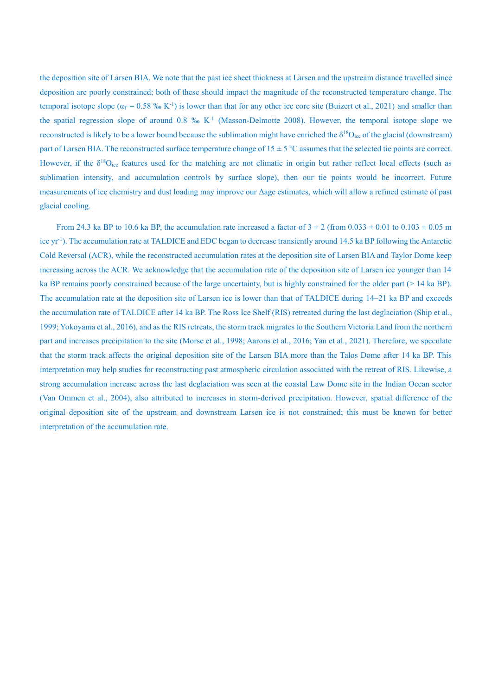the deposition site of Larsen BIA. We note that the past ice sheet thickness at Larsen and the upstream distance travelled since deposition are poorly constrained; both of these should impact the magnitude of the reconstructed temperature change. The temporal isotope slope ( $\alpha_T$  = 0.58 ‰ K<sup>-1</sup>) is lower than that for any other ice core site (Buizert et al., 2021) and smaller than the spatial regression slope of around  $0.8\%$  K<sup>-1</sup> (Masson-Delmotte 2008). However, the temporal isotope slope we reconstructed is likely to be a lower bound because the sublimation might have enriched the  $\delta^{18}O_{\text{ice}}$  of the glacial (downstream) part of Larsen BIA. The reconstructed surface temperature change of 15 ± 5 ℃ assumes that the selected tie points are correct. However, if the  $\delta^{18}O_{\text{ice}}$  features used for the matching are not climatic in origin but rather reflect local effects (such as sublimation intensity, and accumulation controls by surface slope), then our tie points would be incorrect. Future measurements of ice chemistry and dust loading may improve our Δage estimates, which will allow a refined estimate of past glacial cooling.

From 24.3 ka BP to 10.6 ka BP, the accumulation rate increased a factor of  $3 \pm 2$  (from  $0.033 \pm 0.01$  to  $0.103 \pm 0.05$  m ice yr<sup>-1</sup>). The accumulation rate at TALDICE and EDC began to decrease transiently around 14.5 ka BP following the Antarctic Cold Reversal (ACR), while the reconstructed accumulation rates at the deposition site of Larsen BIA and Taylor Dome keep increasing across the ACR. We acknowledge that the accumulation rate of the deposition site of Larsen ice younger than 14 ka BP remains poorly constrained because of the large uncertainty, but is highly constrained for the older part (> 14 ka BP). The accumulation rate at the deposition site of Larsen ice is lower than that of TALDICE during 14–21 ka BP and exceeds the accumulation rate of TALDICE after 14 ka BP. The Ross Ice Shelf (RIS) retreated during the last deglaciation (Ship et al., 1999; Yokoyama et al., 2016), and as the RIS retreats, the storm track migrates to the Southern Victoria Land from the northern part and increases precipitation to the site (Morse et al., 1998; Aarons et al., 2016; Yan et al., 2021). Therefore, we speculate that the storm track affects the original deposition site of the Larsen BIA more than the Talos Dome after 14 ka BP. This interpretation may help studies for reconstructing past atmospheric circulation associated with the retreat of RIS. Likewise, a strong accumulation increase across the last deglaciation was seen at the coastal Law Dome site in the Indian Ocean sector (Van Ommen et al., 2004), also attributed to increases in storm-derived precipitation. However, spatial difference of the original deposition site of the upstream and downstream Larsen ice is not constrained; this must be known for better interpretation of the accumulation rate.